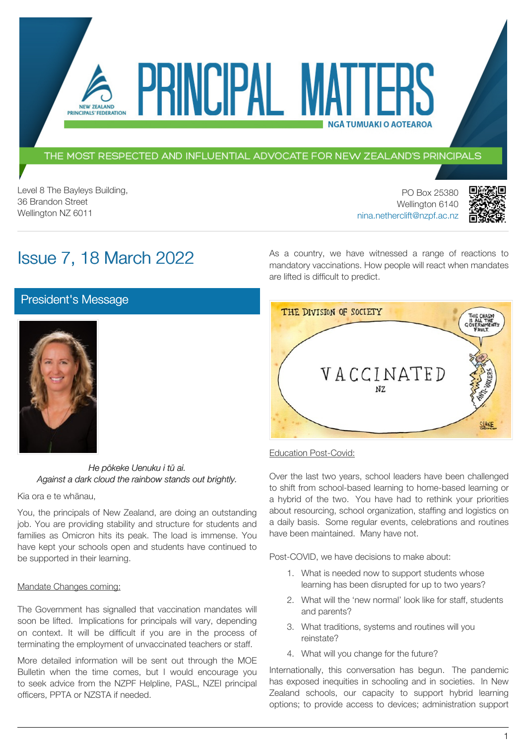THE MOST RESPECTED AND INFLUENTIAL ADVOCATE FOR NEW ZEALAND'S PRINCIPALS

PRINCIPAL MATT

Level 8 The Bayleys Building, 36 Brandon Street Wellington NZ 6011

PO Box 25380 Wellington 6140 [nina.netherclift@nzpf.ac.nz](mailto:mailto:nina.netherclift@nzpf.ac.nz)



# Issue 7, 18 March 2022

NEW ZEALAND PRINCIPALS' FEDERATION

> As a country, we have witnessed a range of reactions to mandatory vaccinations. How people will react when mandates are lifted is difficult to predict.

**NGÅ TUMUAKI O AOTEAROA** 

[President's Message](https://nzpf.schoolzineplus.com/newsletter/article/503?skin=1)



*He pōkeke Uenuku i tū ai. Against a dark cloud the rainbow stands out brightly.*

Kia ora e te whānau,

You, the principals of New Zealand, are doing an outstanding job. You are providing stability and structure for students and families as Omicron hits its peak. The load is immense. You have kept your schools open and students have continued to be supported in their learning.

#### Mandate Changes coming:

The Government has signalled that vaccination mandates will soon be lifted. Implications for principals will vary, depending on context. It will be difficult if you are in the process of terminating the employment of unvaccinated teachers or staff.

More detailed information will be sent out through the MOE Bulletin when the time comes, but I would encourage you to seek advice from the NZPF Helpline, PASL, NZEI principal officers, PPTA or NZSTA if needed.



**Education Post-Covid:** 

Over the last two years, school leaders have been challenged to shift from school-based learning to home-based learning or a hybrid of the two. You have had to rethink your priorities about resourcing, school organization, staffing and logistics on a daily basis. Some regular events, celebrations and routines have been maintained. Many have not.

Post-COVID, we have decisions to make about:

- 1. What is needed now to support students whose learning has been disrupted for up to two years?
- 2. What will the 'new normal' look like for staff, students and parents?
- 3. What traditions, systems and routines will you reinstate?
- 4. What will you change for the future?

Internationally, this conversation has begun. The pandemic has exposed inequities in schooling and in societies. In New Zealand schools, our capacity to support hybrid learning options; to provide access to devices; administration support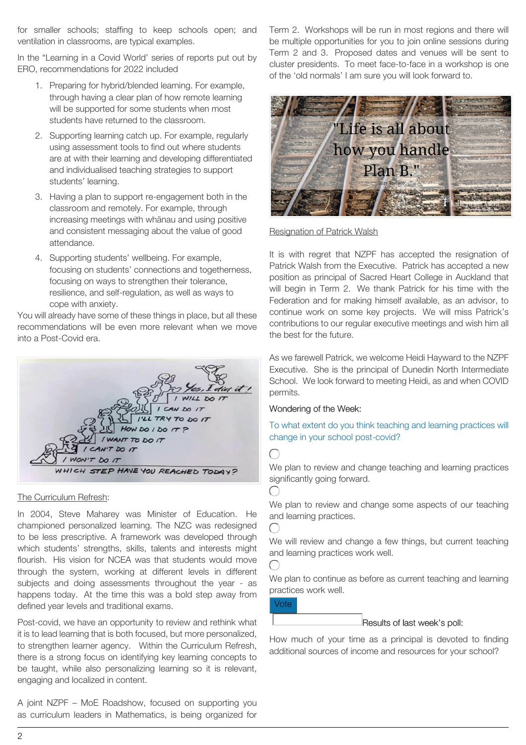for smaller schools; staffing to keep schools open; and ventilation in classrooms, are typical examples.

In the "Learning in a Covid World' series of reports put out by ERO, recommendations for 2022 included

- 1. Preparing for hybrid/blended learning. For example, through having a clear plan of how remote learning will be supported for some students when most students have returned to the classroom.
- 2. Supporting learning catch up. For example, regularly using assessment tools to find out where students are at with their learning and developing differentiated and individualised teaching strategies to support students' learning.
- 3. Having a plan to support re-engagement both in the classroom and remotely. For example, through increasing meetings with whānau and using positive and consistent messaging about the value of good attendance.
- 4. Supporting students' wellbeing. For example, focusing on students' connections and togetherness, focusing on ways to strengthen their tolerance, resilience, and self-regulation, as well as ways to cope with anxiety.

You will already have some of these things in place, but all these recommendations will be even more relevant when we move into a Post-Covid era.



#### The Curriculum Refresh:

In 2004, Steve Maharey was Minister of Education. He championed personalized learning. The NZC was redesigned to be less prescriptive. A framework was developed through which students' strengths, skills, talents and interests might flourish. His vision for NCEA was that students would move through the system, working at different levels in different subjects and doing assessments throughout the year - as happens today. At the time this was a bold step away from defined year levels and traditional exams.

Post-covid, we have an opportunity to review and rethink what it is to lead learning that is both focused, but more personalized, to strengthen learner agency. Within the Curriculum Refresh, there is a strong focus on identifying key learning concepts to be taught, while also personalizing learning so it is relevant, engaging and localized in content.

A joint NZPF – MoE Roadshow, focused on supporting you as curriculum leaders in Mathematics, is being organized for Term 2. Workshops will be run in most regions and there will be multiple opportunities for you to join online sessions during Term 2 and 3. Proposed dates and venues will be sent to cluster presidents. To meet face-to-face in a workshop is one of the 'old normals' I am sure you will look forward to.



#### Resignation of Patrick Walsh

It is with regret that NZPF has accepted the resignation of Patrick Walsh from the Executive. Patrick has accepted a new position as principal of Sacred Heart College in Auckland that will begin in Term 2. We thank Patrick for his time with the Federation and for making himself available, as an advisor, to continue work on some key projects. We will miss Patrick's contributions to our regular executive meetings and wish him all the best for the future.

As we farewell Patrick, we welcome Heidi Hayward to the NZPF Executive. She is the principal of Dunedin North Intermediate School. We look forward to meeting Heidi, as and when COVID permits.

#### Wondering of the Week:

To what extent do you think teaching and learning practices will change in your school post-covid?

 $\subset$ 

We plan to review and change teaching and learning practices significantly going forward.

We plan to review and change some aspects of our teaching and learning practices.

We will review and change a few things, but current teaching and learning practices work well.



 $\bigcap$ 

We plan to continue as before as current teaching and learning practices work well.

Vote

Results of last week's poll:

How much of your time as a principal is devoted to finding additional sources of income and resources for your school?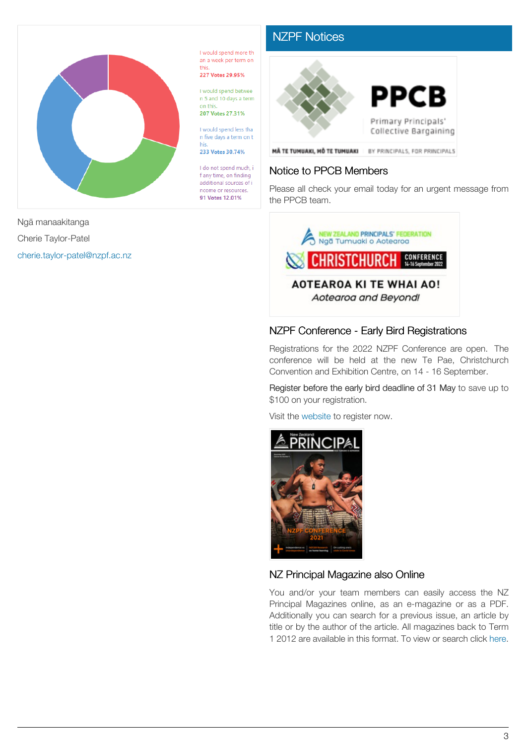

I would spend more th an a week per term on this 227 Votes 29.95%

I would spend betwee n 5 and 10 days a term on this

207 Votes 27.31%

I would spend less that n five days a term on t his

233 Votes 30.74%

I do not spend much, i f any time, on finding additional sources of i ncome or resources. 91 Votes 12.01%

## [NZPF Notices](https://nzpf.schoolzineplus.com/newsletter/article/504?skin=1)



### Notice to PPCB Members

Please all check your email today for an urgent message from the PPCB team.



### NZPF Conference - Early Bird Registrations

Registrations for the 2022 NZPF Conference are open. The conference will be held at the new Te Pae, Christchurch Convention and Exhibition Centre, on 14 - 16 September.

Register before the early bird deadline of 31 May to save up to \$100 on your registration.

Visit the [website](http://www.nzpfconference.com/) to register now.



#### NZ Principal Magazine also Online

You and/or your team members can easily access the NZ Principal Magazines online, as an e-magazine or as a PDF. Additionally you can search for a previous issue, an article by title or by the author of the article. All magazines back to Term 1 2012 are available in this format. To view or search click [here.](http://nzprincipal.co.nz/view-the-magazine/)

Ngā manaakitanga Cherie Taylor-Patel [cherie.taylor-patel@nzpf.ac.nz](mailto:cherie.taylor-patel@nzpf.ac.nz)